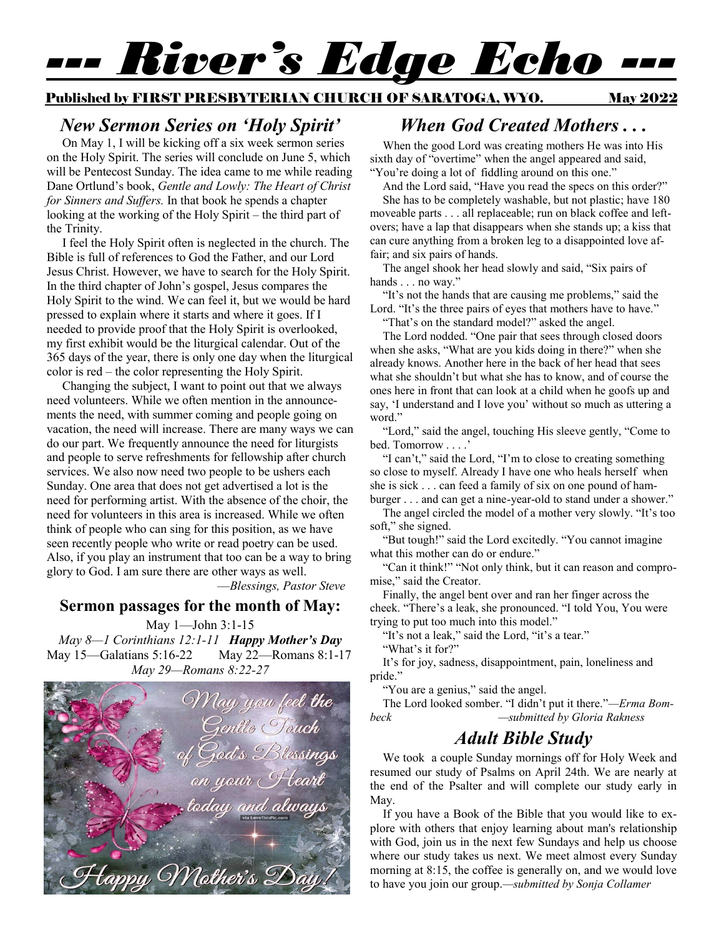# *--- River's Edge Echo ---*

#### Published by FIRST PRESBYTERIAN CHURCH OF SARATOGA, WYO. May 2022

#### *New Sermon Series on 'Holy Spirit'*

 On May 1, I will be kicking off a six week sermon series on the Holy Spirit. The series will conclude on June 5, which will be Pentecost Sunday. The idea came to me while reading Dane Ortlund's book, *Gentle and Lowly: The Heart of Christ for Sinners and Suffers.* In that book he spends a chapter looking at the working of the Holy Spirit – the third part of the Trinity.

 I feel the Holy Spirit often is neglected in the church. The Bible is full of references to God the Father, and our Lord Jesus Christ. However, we have to search for the Holy Spirit. In the third chapter of John's gospel, Jesus compares the Holy Spirit to the wind. We can feel it, but we would be hard pressed to explain where it starts and where it goes. If I needed to provide proof that the Holy Spirit is overlooked, my first exhibit would be the liturgical calendar. Out of the 365 days of the year, there is only one day when the liturgical color is red – the color representing the Holy Spirit.

 Changing the subject, I want to point out that we always need volunteers. While we often mention in the announcements the need, with summer coming and people going on vacation, the need will increase. There are many ways we can do our part. We frequently announce the need for liturgists and people to serve refreshments for fellowship after church services. We also now need two people to be ushers each Sunday. One area that does not get advertised a lot is the need for performing artist. With the absence of the choir, the need for volunteers in this area is increased. While we often think of people who can sing for this position, as we have seen recently people who write or read poetry can be used. Also, if you play an instrument that too can be a way to bring glory to God. I am sure there are other ways as well.

—*Blessings, Pastor Steve*

#### **Sermon passages for the month of May:**

May 1—John 3:1-15 *May 8—1 Corinthians 12:1-11 Happy Mother's Day* May 15—Galatians 5:16-22 May 22—Romans 8:1-17 *May 29—Romans 8:22-27*



## *When God Created Mothers . . .*

When the good Lord was creating mothers He was into His sixth day of "overtime" when the angel appeared and said, "You're doing a lot of fiddling around on this one."

And the Lord said, "Have you read the specs on this order?"

She has to be completely washable, but not plastic; have 180 moveable parts . . . all replaceable; run on black coffee and leftovers; have a lap that disappears when she stands up; a kiss that can cure anything from a broken leg to a disappointed love affair; and six pairs of hands.

The angel shook her head slowly and said, "Six pairs of hands . . . no way."

"It's not the hands that are causing me problems," said the Lord. "It's the three pairs of eyes that mothers have to have."

"That's on the standard model?" asked the angel.

The Lord nodded. "One pair that sees through closed doors when she asks, "What are you kids doing in there?" when she already knows. Another here in the back of her head that sees what she shouldn't but what she has to know, and of course the ones here in front that can look at a child when he goofs up and say, 'I understand and I love you' without so much as uttering a word."

"Lord," said the angel, touching His sleeve gently, "Come to bed. Tomorrow . . . .'

"I can't," said the Lord, "I'm to close to creating something so close to myself. Already I have one who heals herself when she is sick . . . can feed a family of six on one pound of hamburger . . . and can get a nine-year-old to stand under a shower."

The angel circled the model of a mother very slowly. "It's too soft," she signed.

"But tough!" said the Lord excitedly. "You cannot imagine what this mother can do or endure."

"Can it think!" "Not only think, but it can reason and compromise," said the Creator.

Finally, the angel bent over and ran her finger across the cheek. "There's a leak, she pronounced. "I told You, You were trying to put too much into this model."

"It's not a leak," said the Lord, "it's a tear."

"What's it for?"

It's for joy, sadness, disappointment, pain, loneliness and pride."

"You are a genius," said the angel.

The Lord looked somber. "I didn't put it there."*—Erma Bombeck —submitted by Gloria Rakness*

### *Adult Bible Study*

We took a couple Sunday mornings off for Holy Week and resumed our study of Psalms on April 24th. We are nearly at the end of the Psalter and will complete our study early in May.

If you have a Book of the Bible that you would like to explore with others that enjoy learning about man's relationship with God, join us in the next few Sundays and help us choose where our study takes us next. We meet almost every Sunday morning at 8:15, the coffee is generally on, and we would love to have you join our group.*—submitted by Sonja Collamer*